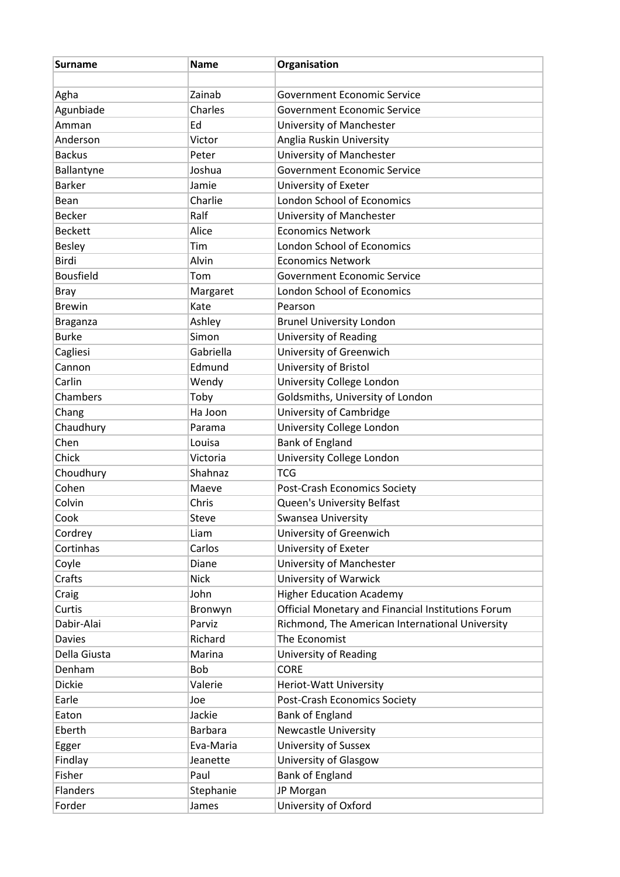| <b>Surname</b>         | <b>Name</b>    | Organisation                                         |
|------------------------|----------------|------------------------------------------------------|
| Agha                   | Zainab         | <b>Government Economic Service</b>                   |
| Agunbiade              | Charles        | Government Economic Service                          |
| Amman                  | Ed             | University of Manchester                             |
| Anderson               | Victor         | Anglia Ruskin University                             |
| <b>Backus</b>          | Peter          | University of Manchester                             |
| Ballantyne             | Joshua         | <b>Government Economic Service</b>                   |
| <b>Barker</b>          | Jamie          | University of Exeter                                 |
| Bean                   | Charlie        | <b>London School of Economics</b>                    |
| <b>Becker</b>          | Ralf           |                                                      |
| <b>Beckett</b>         | Alice          | University of Manchester<br><b>Economics Network</b> |
|                        | Tim            | <b>London School of Economics</b>                    |
| <b>Besley</b><br>Birdi | Alvin          | <b>Economics Network</b>                             |
|                        |                |                                                      |
| <b>Bousfield</b>       | Tom            | Government Economic Service                          |
| <b>Bray</b>            | Margaret       | <b>London School of Economics</b>                    |
| <b>Brewin</b>          | Kate           | Pearson                                              |
| <b>Braganza</b>        | Ashley         | <b>Brunel University London</b>                      |
| <b>Burke</b>           | Simon          | <b>University of Reading</b>                         |
| Cagliesi               | Gabriella      | University of Greenwich                              |
| Cannon                 | Edmund         | University of Bristol                                |
| Carlin                 | Wendy          | University College London                            |
| Chambers               | Toby           | Goldsmiths, University of London                     |
| Chang                  | Ha Joon        | University of Cambridge                              |
| Chaudhury              | Parama         | University College London                            |
| Chen                   | Louisa         | <b>Bank of England</b>                               |
| Chick                  | Victoria       | University College London                            |
| Choudhury              | Shahnaz        | <b>TCG</b>                                           |
| Cohen                  | Maeve          | <b>Post-Crash Economics Society</b>                  |
| Colvin                 | Chris          | Queen's University Belfast                           |
| Cook                   | <b>Steve</b>   | <b>Swansea University</b>                            |
| Cordrey                | Liam           | University of Greenwich                              |
| Cortinhas              | Carlos         | University of Exeter                                 |
| Coyle                  | Diane          | University of Manchester                             |
| Crafts                 | <b>Nick</b>    | University of Warwick                                |
| Craig                  | John           | <b>Higher Education Academy</b>                      |
| Curtis                 | Bronwyn        | Official Monetary and Financial Institutions Forum   |
| Dabir-Alai             | Parviz         | Richmond, The American International University      |
| <b>Davies</b>          | Richard        | The Economist                                        |
| Della Giusta           | Marina         | University of Reading                                |
| Denham                 | Bob            | <b>CORE</b>                                          |
| <b>Dickie</b>          | Valerie        | Heriot-Watt University                               |
| Earle                  | Joe            | Post-Crash Economics Society                         |
| Eaton                  | Jackie         | <b>Bank of England</b>                               |
| Eberth                 | <b>Barbara</b> | <b>Newcastle University</b>                          |
| Egger                  | Eva-Maria      | University of Sussex                                 |
| Findlay                | Jeanette       | University of Glasgow                                |
| Fisher                 | Paul           | <b>Bank of England</b>                               |
| <b>Flanders</b>        | Stephanie      | JP Morgan                                            |
| Forder                 | James          | University of Oxford                                 |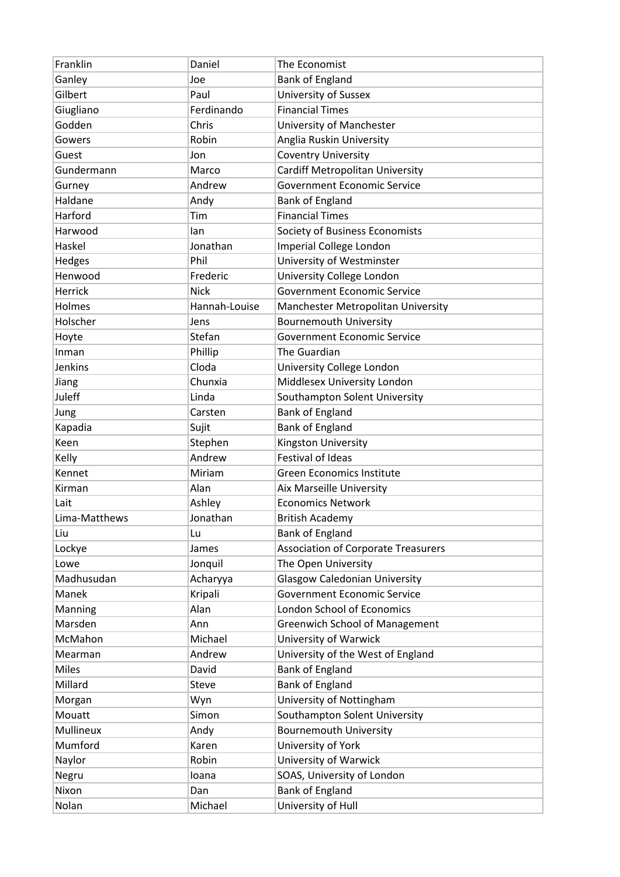| Franklin       | Daniel        | The Economist                              |
|----------------|---------------|--------------------------------------------|
| Ganley         | Joe           | <b>Bank of England</b>                     |
| Gilbert        | Paul          | <b>University of Sussex</b>                |
| Giugliano      | Ferdinando    | <b>Financial Times</b>                     |
| Godden         | Chris         | University of Manchester                   |
| Gowers         | Robin         | Anglia Ruskin University                   |
| Guest          | Jon           | <b>Coventry University</b>                 |
| Gundermann     | Marco         | <b>Cardiff Metropolitan University</b>     |
| Gurney         | Andrew        | <b>Government Economic Service</b>         |
| Haldane        | Andy          | <b>Bank of England</b>                     |
| Harford        | Tim           | <b>Financial Times</b>                     |
| Harwood        | lan           | Society of Business Economists             |
| Haskel         | Jonathan      | <b>Imperial College London</b>             |
| Hedges         | Phil          | University of Westminster                  |
| Henwood        | Frederic      | University College London                  |
| Herrick        | <b>Nick</b>   | <b>Government Economic Service</b>         |
| Holmes         | Hannah-Louise | Manchester Metropolitan University         |
| Holscher       | Jens          | <b>Bournemouth University</b>              |
| Hoyte          | Stefan        | <b>Government Economic Service</b>         |
| Inman          | Phillip       | The Guardian                               |
| <b>Jenkins</b> | Cloda         | University College London                  |
| Jiang          | Chunxia       | Middlesex University London                |
| Juleff         | Linda         | Southampton Solent University              |
| Jung           | Carsten       | <b>Bank of England</b>                     |
| Kapadia        | Sujit         | <b>Bank of England</b>                     |
| Keen           | Stephen       | Kingston University                        |
| Kelly          | Andrew        | <b>Festival of Ideas</b>                   |
| Kennet         | Miriam        | <b>Green Economics Institute</b>           |
| Kirman         | Alan          | Aix Marseille University                   |
| Lait           | Ashley        | <b>Economics Network</b>                   |
| Lima-Matthews  | Jonathan      | <b>British Academy</b>                     |
| Liu            | Lu            | <b>Bank of England</b>                     |
| Lockye         | James         | <b>Association of Corporate Treasurers</b> |
| Lowe           | Jonquil       | The Open University                        |
| Madhusudan     | Acharyya      | <b>Glasgow Caledonian University</b>       |
| Manek          | Kripali       | <b>Government Economic Service</b>         |
| Manning        | Alan          | <b>London School of Economics</b>          |
| Marsden        | Ann           | <b>Greenwich School of Management</b>      |
| McMahon        | Michael       | University of Warwick                      |
| Mearman        | Andrew        | University of the West of England          |
| <b>Miles</b>   | David         | <b>Bank of England</b>                     |
| Millard        | <b>Steve</b>  | <b>Bank of England</b>                     |
| Morgan         | Wyn           | University of Nottingham                   |
| Mouatt         | Simon         | Southampton Solent University              |
| Mullineux      | Andy          | <b>Bournemouth University</b>              |
| Mumford        | Karen         | University of York                         |
| Naylor         | Robin         | University of Warwick                      |
| Negru          | loana         | SOAS, University of London                 |
| Nixon          | Dan           | <b>Bank of England</b>                     |
| Nolan          | Michael       | University of Hull                         |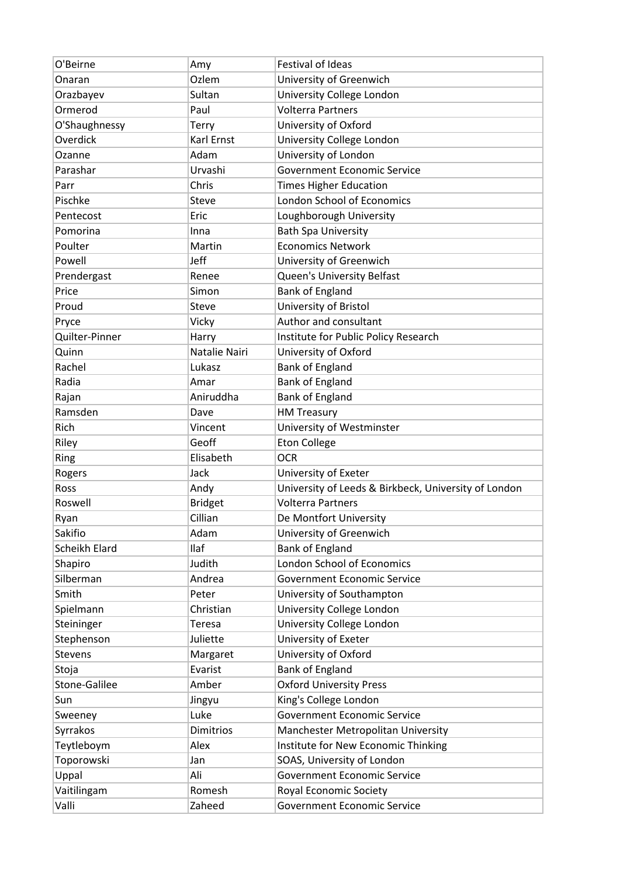| O'Beirne       | Amy            | <b>Festival of Ideas</b>                             |
|----------------|----------------|------------------------------------------------------|
| Onaran         | Ozlem          | University of Greenwich                              |
| Orazbayev      | Sultan         | University College London                            |
| Ormerod        | Paul           | <b>Volterra Partners</b>                             |
| O'Shaughnessy  | Terry          | University of Oxford                                 |
| Overdick       | Karl Ernst     | University College London                            |
| Ozanne         | Adam           | University of London                                 |
| Parashar       | Urvashi        | <b>Government Economic Service</b>                   |
| Parr           | Chris          | <b>Times Higher Education</b>                        |
| Pischke        | Steve          | <b>London School of Economics</b>                    |
| Pentecost      | Eric           | Loughborough University                              |
| Pomorina       | Inna           | <b>Bath Spa University</b>                           |
| Poulter        | Martin         | <b>Economics Network</b>                             |
| Powell         | Jeff           | University of Greenwich                              |
| Prendergast    | Renee          | Queen's University Belfast                           |
| Price          | Simon          | <b>Bank of England</b>                               |
| Proud          | <b>Steve</b>   | University of Bristol                                |
| Pryce          | Vicky          | Author and consultant                                |
| Quilter-Pinner | Harry          | Institute for Public Policy Research                 |
| Quinn          | Natalie Nairi  | University of Oxford                                 |
| Rachel         | Lukasz         | <b>Bank of England</b>                               |
| Radia          | Amar           | <b>Bank of England</b>                               |
| Rajan          | Aniruddha      | <b>Bank of England</b>                               |
| Ramsden        | Dave           | <b>HM Treasury</b>                                   |
| Rich           | Vincent        | University of Westminster                            |
|                |                |                                                      |
| Riley          | Geoff          | <b>Eton College</b>                                  |
| Ring           | Elisabeth      | <b>OCR</b>                                           |
| Rogers         | Jack           | University of Exeter                                 |
| Ross           | Andy           | University of Leeds & Birkbeck, University of London |
| Roswell        | <b>Bridget</b> | <b>Volterra Partners</b>                             |
| Ryan           | Cillian        | De Montfort University                               |
| Sakifio        | Adam           | University of Greenwich                              |
| Scheikh Elard  | Ilaf           | <b>Bank of England</b>                               |
| Shapiro        | Judith         | <b>London School of Economics</b>                    |
| Silberman      | Andrea         | Government Economic Service                          |
| Smith          | Peter          | University of Southampton                            |
| Spielmann      | Christian      | University College London                            |
| Steininger     | <b>Teresa</b>  | University College London                            |
| Stephenson     | Juliette       | University of Exeter                                 |
| <b>Stevens</b> | Margaret       | University of Oxford                                 |
| Stoja          | Evarist        | <b>Bank of England</b>                               |
| Stone-Galilee  | Amber          | <b>Oxford University Press</b>                       |
| Sun            | Jingyu         | King's College London                                |
| Sweeney        | Luke           | <b>Government Economic Service</b>                   |
| Syrrakos       | Dimitrios      | Manchester Metropolitan University                   |
| Teytleboym     | Alex           | Institute for New Economic Thinking                  |
| Toporowski     | Jan            | SOAS, University of London                           |
| Uppal          | Ali            | <b>Government Economic Service</b>                   |
| Vaitilingam    | Romesh         | Royal Economic Society                               |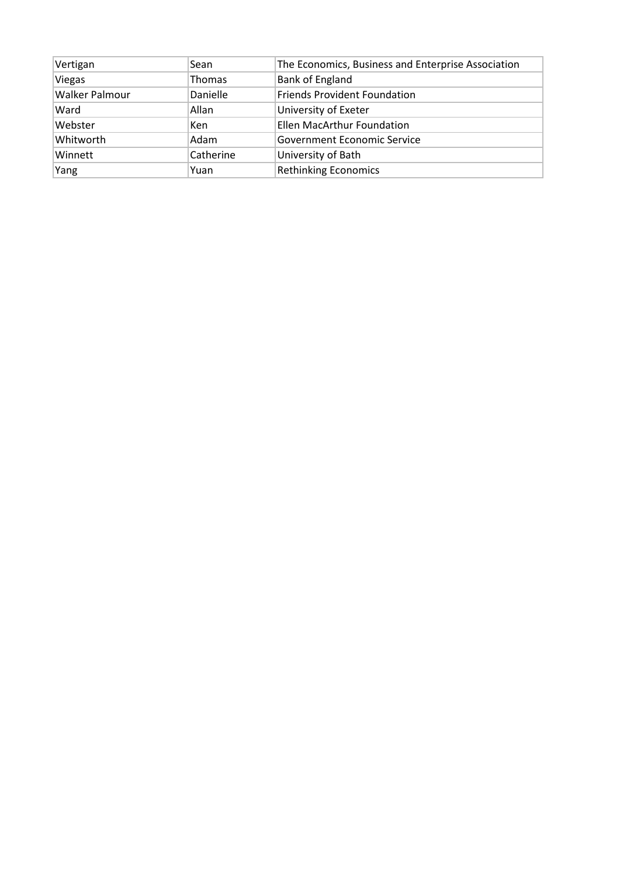| Vertigan              | Sean          | The Economics, Business and Enterprise Association |
|-----------------------|---------------|----------------------------------------------------|
| Viegas                | <b>Thomas</b> | <b>Bank of England</b>                             |
| <b>Walker Palmour</b> | Danielle      | <b>Friends Provident Foundation</b>                |
| Ward                  | Allan         | University of Exeter                               |
| Webster               | <b>Ken</b>    | Ellen MacArthur Foundation                         |
| Whitworth             | Adam          | Government Economic Service                        |
| Winnett               | Catherine     | University of Bath                                 |
| Yang                  | Yuan          | <b>Rethinking Economics</b>                        |